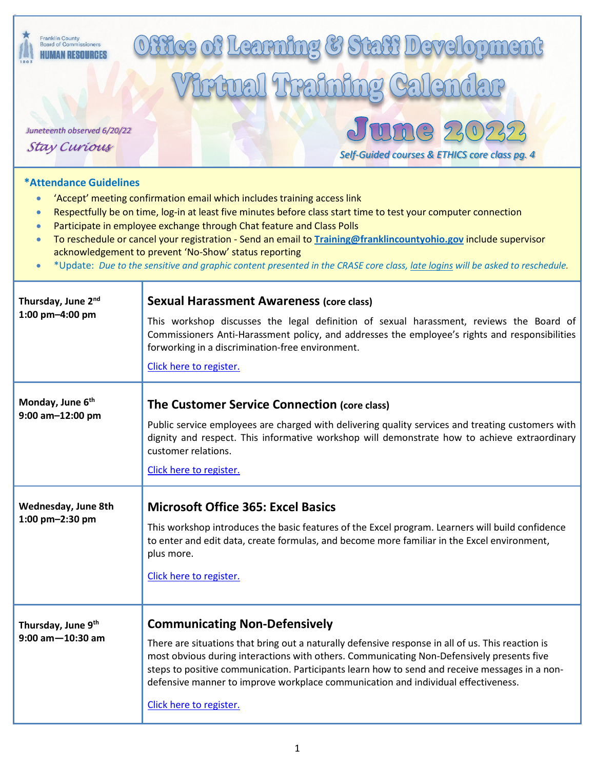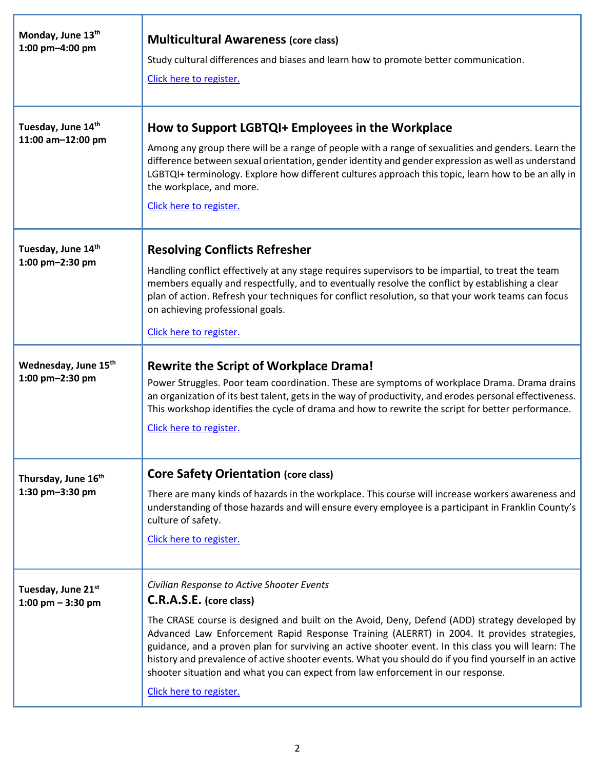| Monday, June 13th<br>1:00 pm-4:00 pm                | <b>Multicultural Awareness (core class)</b><br>Study cultural differences and biases and learn how to promote better communication.<br>Click here to register.                                                                                                                                                                                                                                                                                                                                                                                                                                      |
|-----------------------------------------------------|-----------------------------------------------------------------------------------------------------------------------------------------------------------------------------------------------------------------------------------------------------------------------------------------------------------------------------------------------------------------------------------------------------------------------------------------------------------------------------------------------------------------------------------------------------------------------------------------------------|
| Tuesday, June 14th<br>11:00 am-12:00 pm             | How to Support LGBTQI+ Employees in the Workplace<br>Among any group there will be a range of people with a range of sexualities and genders. Learn the<br>difference between sexual orientation, gender identity and gender expression as well as understand<br>LGBTQI+ terminology. Explore how different cultures approach this topic, learn how to be an ally in<br>the workplace, and more.<br>Click here to register.                                                                                                                                                                         |
| Tuesday, June 14th<br>1:00 pm-2:30 pm               | <b>Resolving Conflicts Refresher</b><br>Handling conflict effectively at any stage requires supervisors to be impartial, to treat the team<br>members equally and respectfully, and to eventually resolve the conflict by establishing a clear<br>plan of action. Refresh your techniques for conflict resolution, so that your work teams can focus<br>on achieving professional goals.<br>Click here to register.                                                                                                                                                                                 |
| Wednesday, June 15 <sup>th</sup><br>1:00 pm-2:30 pm | <b>Rewrite the Script of Workplace Drama!</b><br>Power Struggles. Poor team coordination. These are symptoms of workplace Drama. Drama drains<br>an organization of its best talent, gets in the way of productivity, and erodes personal effectiveness.<br>This workshop identifies the cycle of drama and how to rewrite the script for better performance.<br>Click here to register.                                                                                                                                                                                                            |
| Thursday, June 16th<br>1:30 pm-3:30 pm              | <b>Core Safety Orientation (core class)</b><br>There are many kinds of hazards in the workplace. This course will increase workers awareness and<br>understanding of those hazards and will ensure every employee is a participant in Franklin County's<br>culture of safety.<br>Click here to register.                                                                                                                                                                                                                                                                                            |
| Tuesday, June 21st<br>1:00 pm $-$ 3:30 pm           | Civilian Response to Active Shooter Events<br>C.R.A.S.E. (core class)<br>The CRASE course is designed and built on the Avoid, Deny, Defend (ADD) strategy developed by<br>Advanced Law Enforcement Rapid Response Training (ALERRT) in 2004. It provides strategies,<br>guidance, and a proven plan for surviving an active shooter event. In this class you will learn: The<br>history and prevalence of active shooter events. What you should do if you find yourself in an active<br>shooter situation and what you can expect from law enforcement in our response.<br>Click here to register. |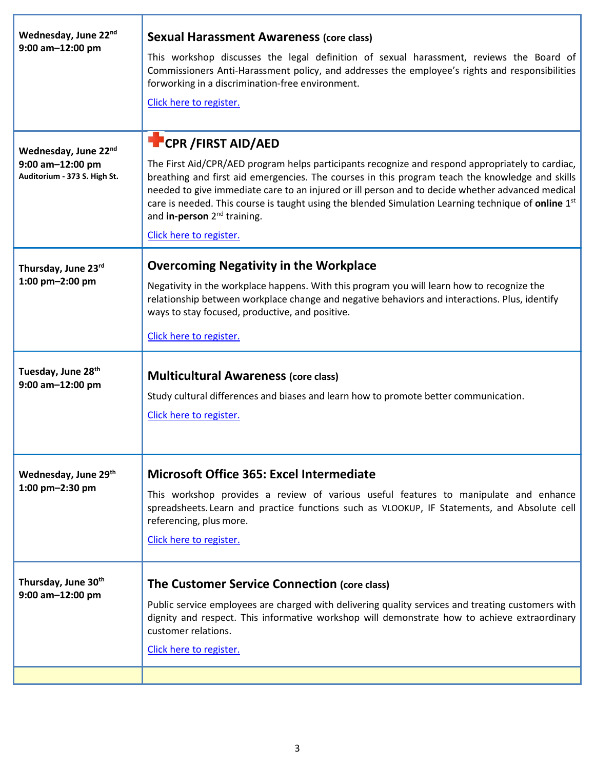| Wednesday, June 22nd<br>9:00 am-12:00 pm                                 | <b>Sexual Harassment Awareness (core class)</b><br>This workshop discusses the legal definition of sexual harassment, reviews the Board of<br>Commissioners Anti-Harassment policy, and addresses the employee's rights and responsibilities<br>forworking in a discrimination-free environment.<br>Click here to register.                                                                                                                                                                                          |
|--------------------------------------------------------------------------|----------------------------------------------------------------------------------------------------------------------------------------------------------------------------------------------------------------------------------------------------------------------------------------------------------------------------------------------------------------------------------------------------------------------------------------------------------------------------------------------------------------------|
| Wednesday, June 22nd<br>9:00 am-12:00 pm<br>Auditorium - 373 S. High St. | <b>CPR / FIRST AID/AED</b><br>The First Aid/CPR/AED program helps participants recognize and respond appropriately to cardiac,<br>breathing and first aid emergencies. The courses in this program teach the knowledge and skills<br>needed to give immediate care to an injured or ill person and to decide whether advanced medical<br>care is needed. This course is taught using the blended Simulation Learning technique of online $1st$<br>and in-person 2 <sup>nd</sup> training.<br>Click here to register. |
| Thursday, June 23rd<br>1:00 pm-2:00 pm                                   | <b>Overcoming Negativity in the Workplace</b><br>Negativity in the workplace happens. With this program you will learn how to recognize the<br>relationship between workplace change and negative behaviors and interactions. Plus, identify<br>ways to stay focused, productive, and positive.<br>Click here to register.                                                                                                                                                                                           |
| Tuesday, June 28th<br>$9:00$ am $-12:00$ pm                              | <b>Multicultural Awareness (core class)</b><br>Study cultural differences and biases and learn how to promote better communication.<br>Click here to register.                                                                                                                                                                                                                                                                                                                                                       |
| Wednesday, June 29th<br>1:00 pm-2:30 pm                                  | <b>Microsoft Office 365: Excel Intermediate</b><br>This workshop provides a review of various useful features to manipulate and enhance<br>spreadsheets. Learn and practice functions such as VLOOKUP, IF Statements, and Absolute cell<br>referencing, plus more.<br>Click here to register.                                                                                                                                                                                                                        |
| Thursday, June 30th<br>9:00 am-12:00 pm                                  | The Customer Service Connection (core class)<br>Public service employees are charged with delivering quality services and treating customers with<br>dignity and respect. This informative workshop will demonstrate how to achieve extraordinary<br>customer relations.<br>Click here to register.                                                                                                                                                                                                                  |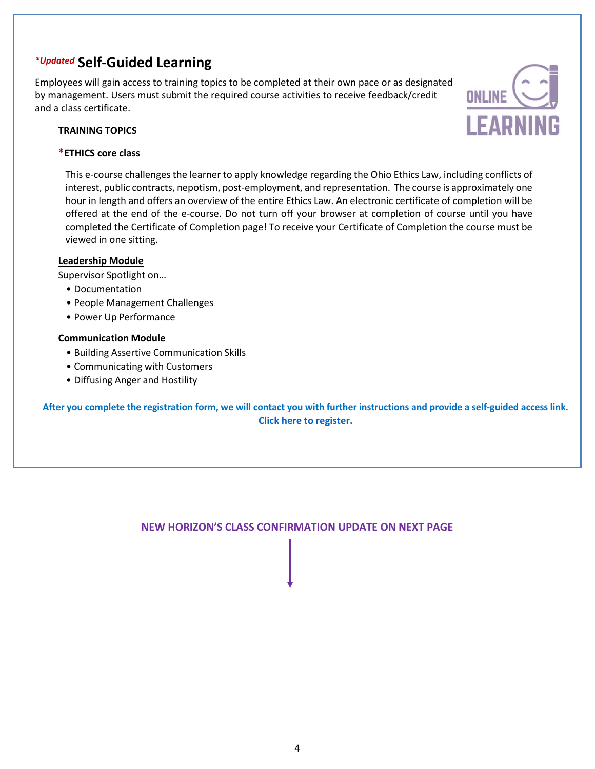# *\*Updated* **Self-Guided Learning**

Employees will gain access to training topics to be completed at their own pace or as designated by management. Users must submit the required course activities to receive feedback/credit and a class certificate.

#### **TRAINING TOPICS**

#### **\*ETHICS core class**

This e-course challenges the learner to apply knowledge regarding the Ohio Ethics Law, including conflicts of interest, public contracts, nepotism, post-employment, and representation. The course is approximately one hour in length and offers an overview of the entire Ethics Law. An electronic certificate of completion will be offered at the end of the e-course. Do not turn off your browser at completion of course until you have completed the Certificate of Completion page! To receive your Certificate of Completion the course must be viewed in one sitting.

**ONLINE** 

**LEARNING** 

## **Leadership Module**

Supervisor Spotlight on…

- Documentation
- People Management Challenges
- Power Up Performance

## **Communication Module**

- Building Assertive Communication Skills
- Communicating with Customers
- Diffusing Anger and Hostility

**After you complete the registration form, we will contact you with further instructions and provide a self-guided access link. Click here to [register.](https://portal.co.franklin.oh.us/hr/training/)**

# **NEW HORIZON'S CLASS CONFIRMATION UPDATE ON NEXT PAGE**